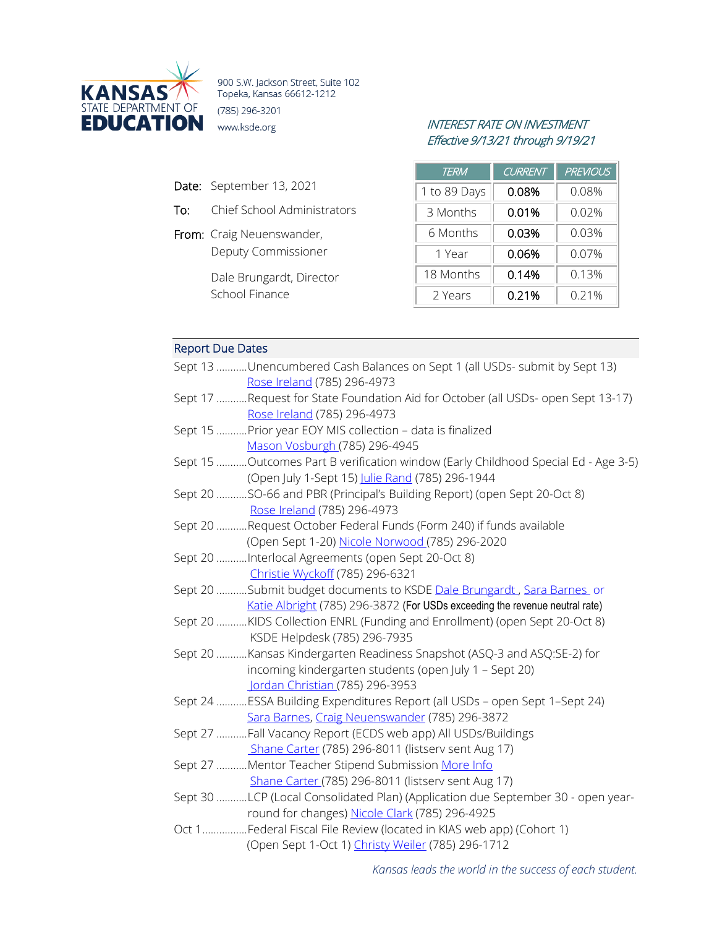

900 S.W. Jackson Street, Suite 102 Topeka, Kansas 66612-1212 (785) 296-3201

- Date: September 13, 2021
- To: Chief School Administrators
- From: Craig Neuenswander, Deputy Commissioner

Dale Brungardt, Director School Finance

## INTEREST RATE ON INVESTMENT Effective 9/13/21 through 9/19/21

| TERM         | <b>CURRENT</b> | <b>PREVIOUS</b> |
|--------------|----------------|-----------------|
| 1 to 89 Days | 0.08%          | 0.08%           |
| 3 Months     | 0.01%          | 0.02%           |
| 6 Months     | 0.03%          | 0.03%           |
| 1 Year       | 0.06%          | 0.07%           |
| 18 Months    | 0.14%          | 0.13%           |
| 2 Years      | 0.21%          | 0.21%           |

# Report Due Dates

| Sept 13 Unencumbered Cash Balances on Sept 1 (all USDs- submit by Sept 13)         |
|------------------------------------------------------------------------------------|
| Rose Ireland (785) 296-4973                                                        |
| Sept 17 Request for State Foundation Aid for October (all USDs- open Sept 13-17)   |
| Rose Ireland (785) 296-4973                                                        |
| Sept 15  Prior year EOY MIS collection - data is finalized                         |
| Mason Vosburgh (785) 296-4945                                                      |
| Sept 15 Outcomes Part B verification window (Early Childhood Special Ed - Age 3-5) |
| (Open July 1-Sept 15) Julie Rand (785) 296-1944                                    |
| Sept 20 SO-66 and PBR (Principal's Building Report) (open Sept 20-Oct 8)           |
| Rose Ireland (785) 296-4973                                                        |
| Sept 20 Request October Federal Funds (Form 240) if funds available                |
| (Open Sept 1-20) Nicole Norwood (785) 296-2020                                     |
| Sept 20 Interlocal Agreements (open Sept 20-Oct 8)                                 |
| Christie Wyckoff (785) 296-6321                                                    |
| Sept 20 Submit budget documents to KSDE Dale Brungardt, Sara Barnes or             |
| Katie Albright (785) 296-3872 (For USDs exceeding the revenue neutral rate)        |
| Sept 20 KIDS Collection ENRL (Funding and Enrollment) (open Sept 20-Oct 8)         |
| KSDE Helpdesk (785) 296-7935                                                       |
| Sept 20 Kansas Kindergarten Readiness Snapshot (ASQ-3 and ASQ:SE-2) for            |
| incoming kindergarten students (open July 1 - Sept 20)                             |
| Jordan Christian (785) 296-3953                                                    |
| Sept 24 ESSA Building Expenditures Report (all USDs - open Sept 1-Sept 24)         |
| Sara Barnes, Craig Neuenswander (785) 296-3872                                     |
| Sept 27 Fall Vacancy Report (ECDS web app) All USDs/Buildings                      |
| Shane Carter (785) 296-8011 (listserv sent Aug 17)                                 |
| Sept 27 Mentor Teacher Stipend Submission More Info                                |
| Shane Carter (785) 296-8011 (listserv sent Aug 17)                                 |
| Sept 30 LCP (Local Consolidated Plan) (Application due September 30 - open year-   |
| round for changes) Nicole Clark (785) 296-4925                                     |
| Oct 1Federal Fiscal File Review (located in KIAS web app) (Cohort 1)               |
| (Open Sept 1-Oct 1) Christy Weiler (785) 296-1712                                  |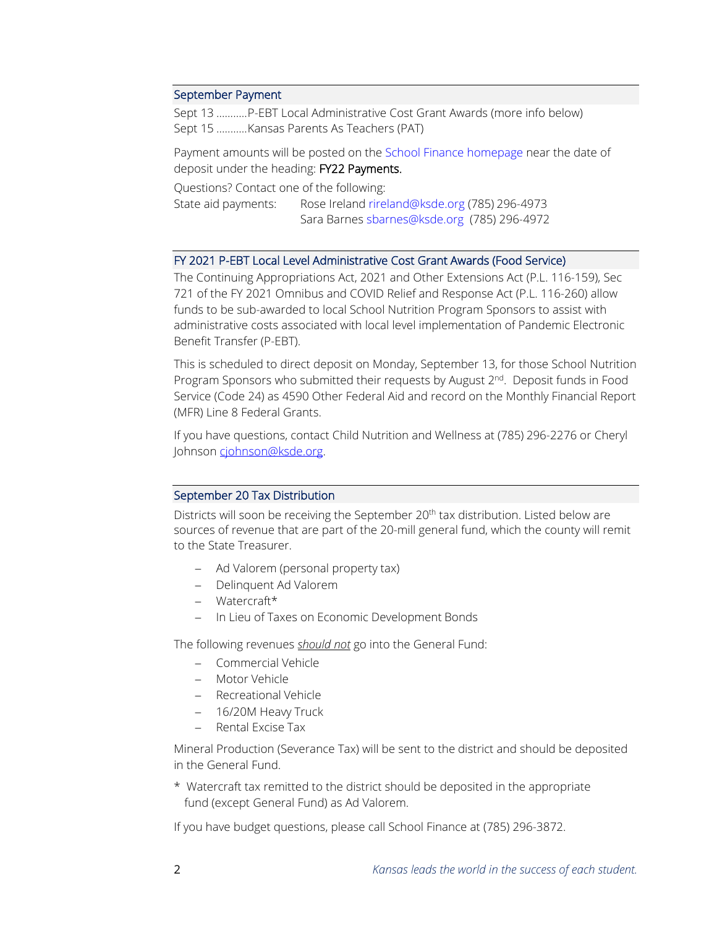#### September Payment

Sept 13 ...........P-EBT Local Administrative Cost Grant Awards (more info below) Sept 15 ...........Kansas Parents As Teachers (PAT)

Payment amounts will be posted on the [School Finance homepage](http://www.ksde.org/Agency/Fiscal-and-Administrative-Services/School-Finance/Payment-Information) near the date of deposit under the heading: FY22 Payments.

Questions? Contact one of the following:

State aid payments: Rose Ireland [rireland@ksde.org \(](mailto:rireland@ksde.org)785) 296-4973 Sara Barnes [sbarnes@ksde.org](mailto:sbarnes@ksde.org) (785) 296-4972

#### FY 2021 P-EBT Local Level Administrative Cost Grant Awards (Food Service)

The Continuing Appropriations Act, 2021 and Other Extensions Act (P.L. 116-159), Sec 721 of the FY 2021 Omnibus and COVID Relief and Response Act (P.L. 116-260) allow funds to be sub-awarded to local School Nutrition Program Sponsors to assist with administrative costs associated with local level implementation of Pandemic Electronic Benefit Transfer (P-EBT).

This is scheduled to direct deposit on Monday, September 13, for those School Nutrition Program Sponsors who submitted their requests by August 2<sup>nd</sup>. Deposit funds in Food Service (Code 24) as 4590 Other Federal Aid and record on the Monthly Financial Report (MFR) Line 8 Federal Grants.

If you have questions, contact Child Nutrition and Wellness at (785) 296-2276 or Cheryl Johnso[n cjohnson@ksde.org.](mailto:cjohnson@ksde.org)

### September 20 Tax Distribution

Districts will soon be receiving the September 20<sup>th</sup> tax distribution. Listed below are sources of revenue that are part of the 20-mill general fund, which the county will remit to the State Treasurer.

- − Ad Valorem (personal property tax)
- − Delinquent Ad Valorem
- − Watercraft\*
- − In Lieu of Taxes on Economic Development Bonds

The following revenues *should not* go into the General Fund:

- − Commercial Vehicle
- − Motor Vehicle
- − Recreational Vehicle
- − 16/20M Heavy Truck
- − Rental Excise Tax

Mineral Production (Severance Tax) will be sent to the district and should be deposited in the General Fund.

\* Watercraft tax remitted to the district should be deposited in the appropriate fund (except General Fund) as Ad Valorem.

If you have budget questions, please call School Finance at (785) 296-3872.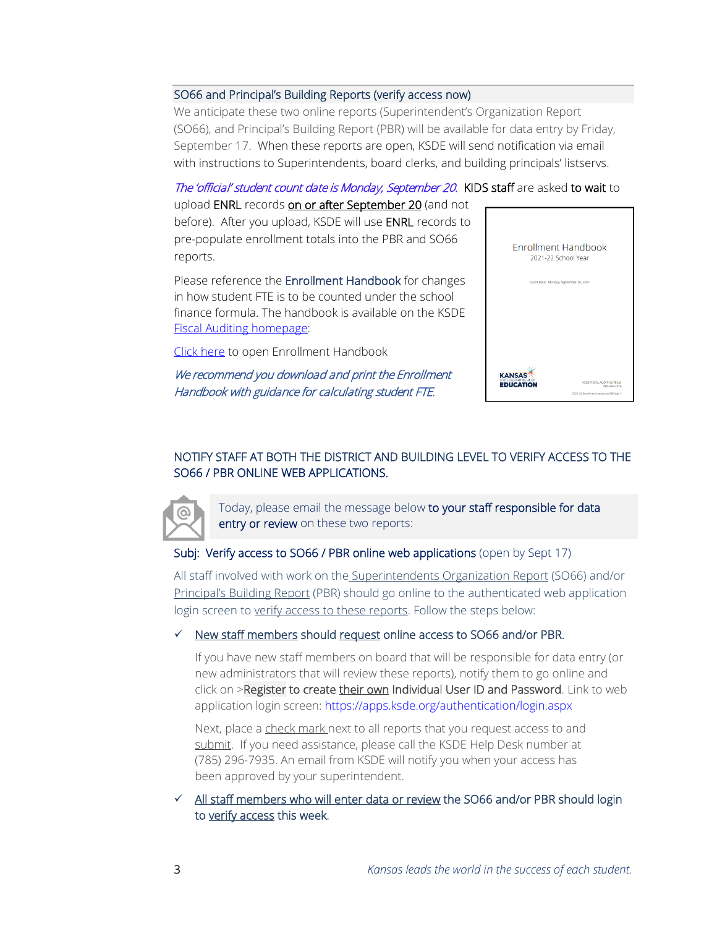### SO66 and Principal's Building Reports (verify access now)

We anticipate these two online reports (Superintendent's Organization Report (SO66), and Principal's Building Report (PBR) will be available for data entry by Friday, September 17. When these reports are open, KSDE will send notification via email with instructions to Superintendents, board clerks, and building principals' listservs.

The 'official' student count date is Monday, September 20. KIDS staff are asked to wait to

upload ENRL records on or after September 20 (and not before). After you upload, KSDE will use ENRL records to pre-populate enrollment totals into the PBR and SO66 reports.

Please reference the Enrollment Handbook for changes in how student FTE is to be counted under the school finance formula. The handbook is available on the KSDE [Fiscal Auditing homepage:](https://www.ksde.org/Agency/Fiscal-and-Administrative-Services/Fiscal-Auditing)

[Click here](https://www.ksde.org/Portals/0/Auditing/Enrollment%20Handbook%20FY22.pdf?ver=2021-08-26-095355-947) to open Enrollment Handbook

We recommend you download and print the Enrollment Handbook with guidance for calculating student FTE.



# NOTIFY STAFF AT BOTH THE DISTRICT AND BUILDING LEVEL TO VERIFY ACCESS TO THE SO66 / PBR ONLINE WEB APPLICATIONS.



Today, please email the message below to your staff responsible for data entry or review on these two reports:

## Subj: Verify access to SO66 / PBR online web applications (open by Sept 17)

All staff involved with work on the Superintendents Organization Report (SO66) and/or Principal's Building Report (PBR) should go online to the authenticated web application login screen to verify access to these reports. Follow the steps below:

## $\checkmark$  New staff members should request online access to SO66 and/or PBR.

If you have new staff members on board that will be responsible for data entry (or new administrators that will review these reports), notify them to go online and click on >Register to create their own Individual User ID and Password. Link to web application login screen: <https://apps.ksde.org/authentication/login.aspx>

Next, place a check mark next to all reports that you request access to and submit. If you need assistance, please call the KSDE Help Desk number at (785) 296-7935. An email from KSDE will notify you when your access has been approved by your superintendent.

 $\checkmark$  All staff members who will enter data or review the SO66 and/or PBR should login to verify access this week.